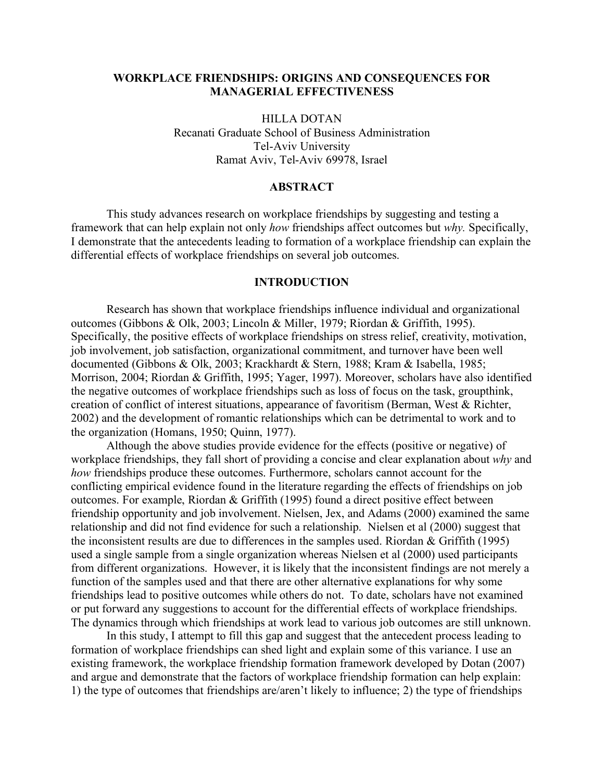# **WORKPLACE FRIENDSHIPS: ORIGINS AND CONSEQUENCES FOR MANAGERIAL EFFECTIVENESS**

HILLA DOTAN Recanati Graduate School of Business Administration Tel-Aviv University Ramat Aviv, Tel-Aviv 69978, Israel

# **ABSTRACT**

This study advances research on workplace friendships by suggesting and testing a framework that can help explain not only *how* friendships affect outcomes but *why.* Specifically, I demonstrate that the antecedents leading to formation of a workplace friendship can explain the differential effects of workplace friendships on several job outcomes.

## **INTRODUCTION**

Research has shown that workplace friendships influence individual and organizational outcomes (Gibbons & Olk, 2003; Lincoln & Miller, 1979; Riordan & Griffith, 1995). Specifically, the positive effects of workplace friendships on stress relief, creativity, motivation, job involvement, job satisfaction, organizational commitment, and turnover have been well documented (Gibbons & Olk, 2003; Krackhardt & Stern, 1988; Kram & Isabella, 1985; Morrison, 2004; Riordan & Griffith, 1995; Yager, 1997). Moreover, scholars have also identified the negative outcomes of workplace friendships such as loss of focus on the task, groupthink, creation of conflict of interest situations, appearance of favoritism (Berman, West & Richter, 2002) and the development of romantic relationships which can be detrimental to work and to the organization (Homans, 1950; Quinn, 1977).

Although the above studies provide evidence for the effects (positive or negative) of workplace friendships, they fall short of providing a concise and clear explanation about *why* and *how* friendships produce these outcomes. Furthermore, scholars cannot account for the conflicting empirical evidence found in the literature regarding the effects of friendships on job outcomes. For example, Riordan & Griffith (1995) found a direct positive effect between friendship opportunity and job involvement. Nielsen, Jex, and Adams (2000) examined the same relationship and did not find evidence for such a relationship. Nielsen et al (2000) suggest that the inconsistent results are due to differences in the samples used. Riordan & Griffith (1995) used a single sample from a single organization whereas Nielsen et al (2000) used participants from different organizations. However, it is likely that the inconsistent findings are not merely a function of the samples used and that there are other alternative explanations for why some friendships lead to positive outcomes while others do not. To date, scholars have not examined or put forward any suggestions to account for the differential effects of workplace friendships. The dynamics through which friendships at work lead to various job outcomes are still unknown.

In this study, I attempt to fill this gap and suggest that the antecedent process leading to formation of workplace friendships can shed light and explain some of this variance. I use an existing framework, the workplace friendship formation framework developed by Dotan (2007) and argue and demonstrate that the factors of workplace friendship formation can help explain: 1) the type of outcomes that friendships are/aren't likely to influence; 2) the type of friendships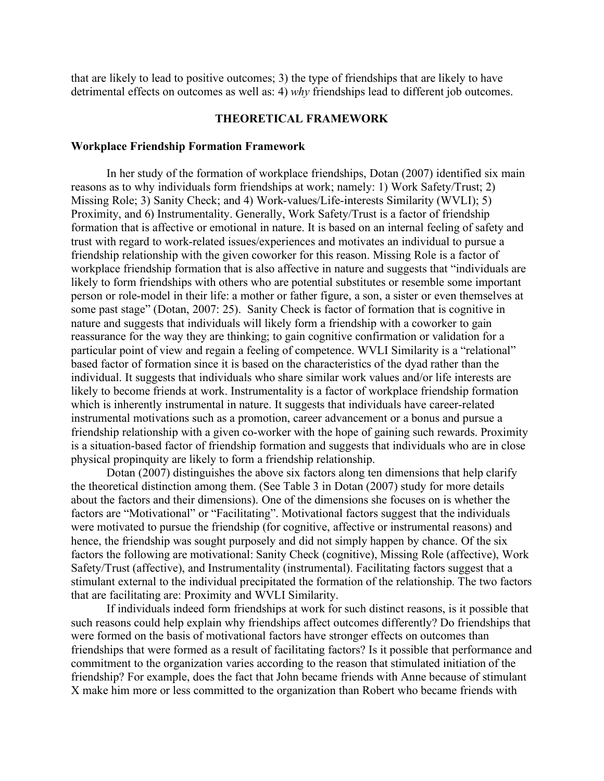that are likely to lead to positive outcomes; 3) the type of friendships that are likely to have detrimental effects on outcomes as well as: 4) *why* friendships lead to different job outcomes.

# **THEORETICAL FRAMEWORK**

#### **Workplace Friendship Formation Framework**

In her study of the formation of workplace friendships, Dotan (2007) identified six main reasons as to why individuals form friendships at work; namely: 1) Work Safety/Trust; 2) Missing Role; 3) Sanity Check; and 4) Work-values/Life-interests Similarity (WVLI); 5) Proximity, and 6) Instrumentality. Generally, Work Safety/Trust is a factor of friendship formation that is affective or emotional in nature. It is based on an internal feeling of safety and trust with regard to work-related issues/experiences and motivates an individual to pursue a friendship relationship with the given coworker for this reason. Missing Role is a factor of workplace friendship formation that is also affective in nature and suggests that "individuals are likely to form friendships with others who are potential substitutes or resemble some important person or role-model in their life: a mother or father figure, a son, a sister or even themselves at some past stage" (Dotan, 2007: 25). Sanity Check is factor of formation that is cognitive in nature and suggests that individuals will likely form a friendship with a coworker to gain reassurance for the way they are thinking; to gain cognitive confirmation or validation for a particular point of view and regain a feeling of competence. WVLI Similarity is a "relational" based factor of formation since it is based on the characteristics of the dyad rather than the individual. It suggests that individuals who share similar work values and/or life interests are likely to become friends at work. Instrumentality is a factor of workplace friendship formation which is inherently instrumental in nature. It suggests that individuals have career-related instrumental motivations such as a promotion, career advancement or a bonus and pursue a friendship relationship with a given co-worker with the hope of gaining such rewards. Proximity is a situation-based factor of friendship formation and suggests that individuals who are in close physical propinquity are likely to form a friendship relationship.

Dotan (2007) distinguishes the above six factors along ten dimensions that help clarify the theoretical distinction among them. (See Table 3 in Dotan (2007) study for more details about the factors and their dimensions). One of the dimensions she focuses on is whether the factors are "Motivational" or "Facilitating". Motivational factors suggest that the individuals were motivated to pursue the friendship (for cognitive, affective or instrumental reasons) and hence, the friendship was sought purposely and did not simply happen by chance. Of the six factors the following are motivational: Sanity Check (cognitive), Missing Role (affective), Work Safety/Trust (affective), and Instrumentality (instrumental). Facilitating factors suggest that a stimulant external to the individual precipitated the formation of the relationship. The two factors that are facilitating are: Proximity and WVLI Similarity.

If individuals indeed form friendships at work for such distinct reasons, is it possible that such reasons could help explain why friendships affect outcomes differently? Do friendships that were formed on the basis of motivational factors have stronger effects on outcomes than friendships that were formed as a result of facilitating factors? Is it possible that performance and commitment to the organization varies according to the reason that stimulated initiation of the friendship? For example, does the fact that John became friends with Anne because of stimulant X make him more or less committed to the organization than Robert who became friends with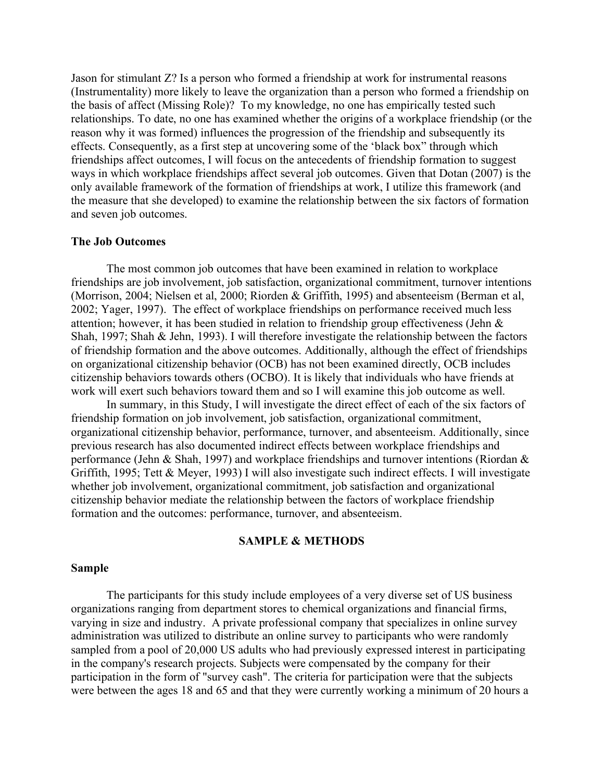Jason for stimulant Z? Is a person who formed a friendship at work for instrumental reasons (Instrumentality) more likely to leave the organization than a person who formed a friendship on the basis of affect (Missing Role)? To my knowledge, no one has empirically tested such relationships. To date, no one has examined whether the origins of a workplace friendship (or the reason why it was formed) influences the progression of the friendship and subsequently its effects. Consequently, as a first step at uncovering some of the 'black box" through which friendships affect outcomes, I will focus on the antecedents of friendship formation to suggest ways in which workplace friendships affect several job outcomes. Given that Dotan (2007) is the only available framework of the formation of friendships at work, I utilize this framework (and the measure that she developed) to examine the relationship between the six factors of formation and seven job outcomes.

#### **The Job Outcomes**

The most common job outcomes that have been examined in relation to workplace friendships are job involvement, job satisfaction, organizational commitment, turnover intentions (Morrison, 2004; Nielsen et al, 2000; Riorden & Griffith, 1995) and absenteeism (Berman et al, 2002; Yager, 1997). The effect of workplace friendships on performance received much less attention; however, it has been studied in relation to friendship group effectiveness (Jehn & Shah, 1997; Shah & Jehn, 1993). I will therefore investigate the relationship between the factors of friendship formation and the above outcomes. Additionally, although the effect of friendships on organizational citizenship behavior (OCB) has not been examined directly, OCB includes citizenship behaviors towards others (OCBO). It is likely that individuals who have friends at work will exert such behaviors toward them and so I will examine this job outcome as well.

In summary, in this Study, I will investigate the direct effect of each of the six factors of friendship formation on job involvement, job satisfaction, organizational commitment, organizational citizenship behavior, performance, turnover, and absenteeism. Additionally, since previous research has also documented indirect effects between workplace friendships and performance (Jehn & Shah, 1997) and workplace friendships and turnover intentions (Riordan & Griffith, 1995; Tett & Meyer, 1993) I will also investigate such indirect effects. I will investigate whether job involvement, organizational commitment, job satisfaction and organizational citizenship behavior mediate the relationship between the factors of workplace friendship formation and the outcomes: performance, turnover, and absenteeism.

#### **SAMPLE & METHODS**

## **Sample**

The participants for this study include employees of a very diverse set of US business organizations ranging from department stores to chemical organizations and financial firms, varying in size and industry. A private professional company that specializes in online survey administration was utilized to distribute an online survey to participants who were randomly sampled from a pool of 20,000 US adults who had previously expressed interest in participating in the company's research projects. Subjects were compensated by the company for their participation in the form of "survey cash". The criteria for participation were that the subjects were between the ages 18 and 65 and that they were currently working a minimum of 20 hours a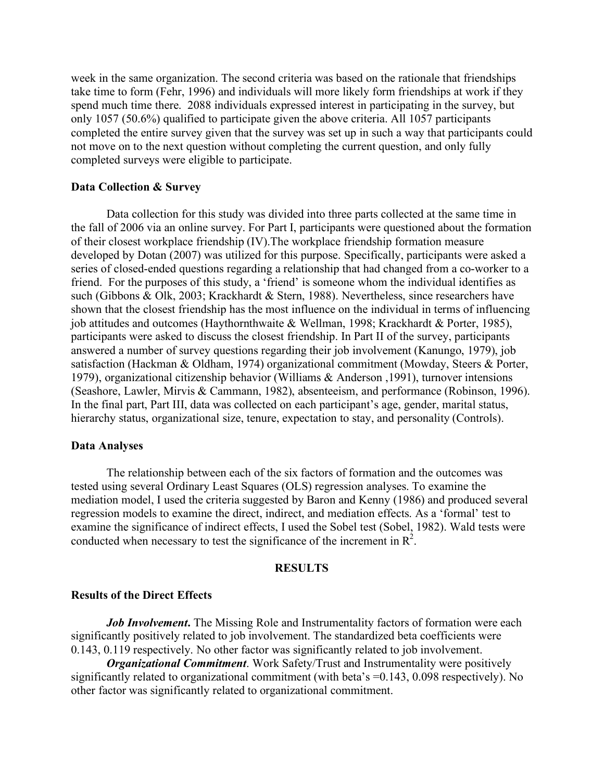week in the same organization. The second criteria was based on the rationale that friendships take time to form (Fehr, 1996) and individuals will more likely form friendships at work if they spend much time there. 2088 individuals expressed interest in participating in the survey, but only 1057 (50.6%) qualified to participate given the above criteria. All 1057 participants completed the entire survey given that the survey was set up in such a way that participants could not move on to the next question without completing the current question, and only fully completed surveys were eligible to participate.

### **Data Collection & Survey**

Data collection for this study was divided into three parts collected at the same time in the fall of 2006 via an online survey. For Part I, participants were questioned about the formation of their closest workplace friendship (IV).The workplace friendship formation measure developed by Dotan (2007) was utilized for this purpose. Specifically, participants were asked a series of closed-ended questions regarding a relationship that had changed from a co-worker to a friend. For the purposes of this study, a 'friend' is someone whom the individual identifies as such (Gibbons & Olk, 2003; Krackhardt & Stern, 1988). Nevertheless, since researchers have shown that the closest friendship has the most influence on the individual in terms of influencing job attitudes and outcomes (Haythornthwaite & Wellman, 1998; Krackhardt & Porter, 1985), participants were asked to discuss the closest friendship. In Part II of the survey, participants answered a number of survey questions regarding their job involvement (Kanungo, 1979), job satisfaction (Hackman & Oldham, 1974) organizational commitment (Mowday, Steers & Porter, 1979), organizational citizenship behavior (Williams & Anderson ,1991), turnover intensions (Seashore, Lawler, Mirvis & Cammann, 1982), absenteeism, and performance (Robinson, 1996). In the final part, Part III, data was collected on each participant's age, gender, marital status, hierarchy status, organizational size, tenure, expectation to stay, and personality (Controls).

## **Data Analyses**

The relationship between each of the six factors of formation and the outcomes was tested using several Ordinary Least Squares (OLS) regression analyses. To examine the mediation model, I used the criteria suggested by Baron and Kenny (1986) and produced several regression models to examine the direct, indirect, and mediation effects. As a 'formal' test to examine the significance of indirect effects, I used the Sobel test (Sobel, 1982). Wald tests were conducted when necessary to test the significance of the increment in  $\mathbb{R}^2$ .

#### **RESULTS**

#### **Results of the Direct Effects**

*Job Involvement***.** The Missing Role and Instrumentality factors of formation were each significantly positively related to job involvement. The standardized beta coefficients were 0.143, 0.119 respectively. No other factor was significantly related to job involvement.

*Organizational Commitment*. Work Safety/Trust and Instrumentality were positively significantly related to organizational commitment (with beta's =0.143, 0.098 respectively). No other factor was significantly related to organizational commitment.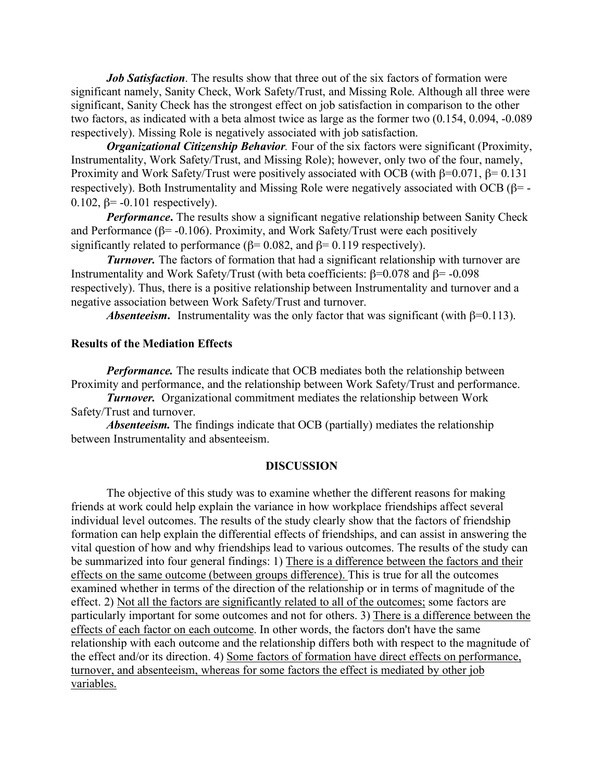*Job Satisfaction*. The results show that three out of the six factors of formation were significant namely, Sanity Check, Work Safety/Trust, and Missing Role. Although all three were significant, Sanity Check has the strongest effect on job satisfaction in comparison to the other two factors, as indicated with a beta almost twice as large as the former two (0.154, 0.094, -0.089 respectively). Missing Role is negatively associated with job satisfaction.

*Organizational Citizenship Behavior.* Four of the six factors were significant (Proximity, Instrumentality, Work Safety/Trust, and Missing Role); however, only two of the four, namely, Proximity and Work Safety/Trust were positively associated with OCB (with β=0.071, β= 0.131 respectively). Both Instrumentality and Missing Role were negatively associated with OCB (β= - 0.102,  $\beta$ = -0.101 respectively).

*Performance*. The results show a significant negative relationship between Sanity Check and Performance ( $\beta$ = -0.106). Proximity, and Work Safety/Trust were each positively significantly related to performance ( $\beta$ = 0.082, and  $\beta$ = 0.119 respectively).

*Turnover.* The factors of formation that had a significant relationship with turnover are Instrumentality and Work Safety/Trust (with beta coefficients:  $\beta$ =0.078 and  $\beta$ = -0.098 respectively). Thus, there is a positive relationship between Instrumentality and turnover and a negative association between Work Safety/Trust and turnover.

*Absenteeism.* Instrumentality was the only factor that was significant (with  $\beta$ =0.113).

## **Results of the Mediation Effects**

*Performance.* The results indicate that OCB mediates both the relationship between Proximity and performance, and the relationship between Work Safety/Trust and performance.

*Turnover.* Organizational commitment mediates the relationship between Work Safety/Trust and turnover.

*Absenteeism.* The findings indicate that OCB (partially) mediates the relationship between Instrumentality and absenteeism.

#### **DISCUSSION**

The objective of this study was to examine whether the different reasons for making friends at work could help explain the variance in how workplace friendships affect several individual level outcomes. The results of the study clearly show that the factors of friendship formation can help explain the differential effects of friendships, and can assist in answering the vital question of how and why friendships lead to various outcomes. The results of the study can be summarized into four general findings: 1) There is a difference between the factors and their effects on the same outcome (between groups difference). This is true for all the outcomes examined whether in terms of the direction of the relationship or in terms of magnitude of the effect. 2) Not all the factors are significantly related to all of the outcomes; some factors are particularly important for some outcomes and not for others. 3) There is a difference between the effects of each factor on each outcome. In other words, the factors don't have the same relationship with each outcome and the relationship differs both with respect to the magnitude of the effect and/or its direction. 4) Some factors of formation have direct effects on performance, turnover, and absenteeism, whereas for some factors the effect is mediated by other job variables.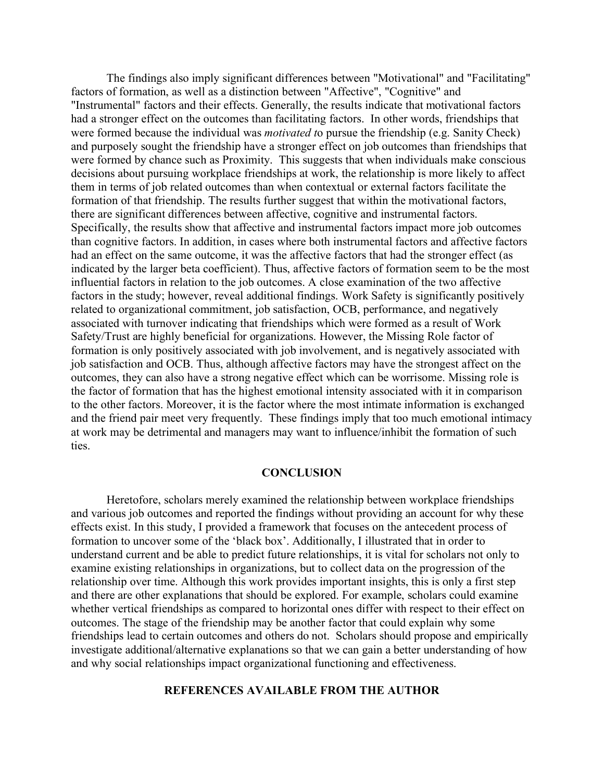The findings also imply significant differences between "Motivational" and "Facilitating" factors of formation, as well as a distinction between "Affective", "Cognitive" and "Instrumental" factors and their effects. Generally, the results indicate that motivational factors had a stronger effect on the outcomes than facilitating factors. In other words, friendships that were formed because the individual was *motivated t*o pursue the friendship (e.g. Sanity Check) and purposely sought the friendship have a stronger effect on job outcomes than friendships that were formed by chance such as Proximity. This suggests that when individuals make conscious decisions about pursuing workplace friendships at work, the relationship is more likely to affect them in terms of job related outcomes than when contextual or external factors facilitate the formation of that friendship. The results further suggest that within the motivational factors, there are significant differences between affective, cognitive and instrumental factors. Specifically, the results show that affective and instrumental factors impact more job outcomes than cognitive factors. In addition, in cases where both instrumental factors and affective factors had an effect on the same outcome, it was the affective factors that had the stronger effect (as indicated by the larger beta coefficient). Thus, affective factors of formation seem to be the most influential factors in relation to the job outcomes. A close examination of the two affective factors in the study; however, reveal additional findings. Work Safety is significantly positively related to organizational commitment, job satisfaction, OCB, performance, and negatively associated with turnover indicating that friendships which were formed as a result of Work Safety/Trust are highly beneficial for organizations. However, the Missing Role factor of formation is only positively associated with job involvement, and is negatively associated with job satisfaction and OCB. Thus, although affective factors may have the strongest affect on the outcomes, they can also have a strong negative effect which can be worrisome. Missing role is the factor of formation that has the highest emotional intensity associated with it in comparison to the other factors. Moreover, it is the factor where the most intimate information is exchanged and the friend pair meet very frequently. These findings imply that too much emotional intimacy at work may be detrimental and managers may want to influence/inhibit the formation of such ties.

## **CONCLUSION**

Heretofore, scholars merely examined the relationship between workplace friendships and various job outcomes and reported the findings without providing an account for why these effects exist. In this study, I provided a framework that focuses on the antecedent process of formation to uncover some of the 'black box'. Additionally, I illustrated that in order to understand current and be able to predict future relationships, it is vital for scholars not only to examine existing relationships in organizations, but to collect data on the progression of the relationship over time. Although this work provides important insights, this is only a first step and there are other explanations that should be explored. For example, scholars could examine whether vertical friendships as compared to horizontal ones differ with respect to their effect on outcomes. The stage of the friendship may be another factor that could explain why some friendships lead to certain outcomes and others do not. Scholars should propose and empirically investigate additional/alternative explanations so that we can gain a better understanding of how and why social relationships impact organizational functioning and effectiveness.

# **REFERENCES AVAILABLE FROM THE AUTHOR**